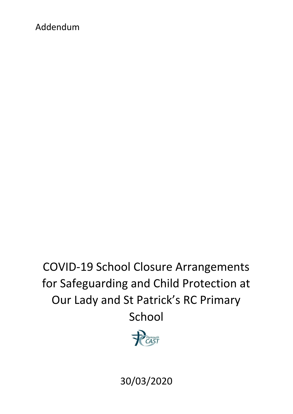# Addendum

COVID-19 School Closure Arrangements for Safeguarding and Child Protection at Our Lady and St Patrick's RC Primary School



30/03/2020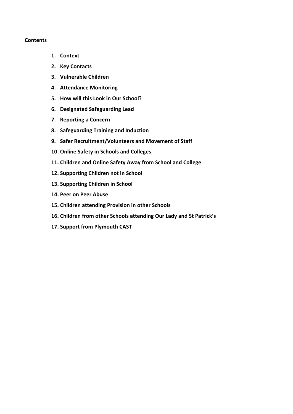#### **Contents**

- **1. Context**
- **2. Key Contacts**
- **3. Vulnerable Children**
- **4. Attendance Monitoring**
- **5. How will this Look in Our School?**
- **6. Designated Safeguarding Lead**
- **7. Reporting a Concern**
- **8. Safeguarding Training and Induction**
- **9. Safer Recruitment/Volunteers and Movement of Staff**
- **10. Online Safety in Schools and Colleges**
- **11. Children and Online Safety Away from School and College**
- **12. Supporting Children not in School**
- **13. Supporting Children in School**
- **14. Peer on Peer Abuse**
- **15. Children attending Provision in other Schools**
- **16. Children from other Schools attending Our Lady and St Patrick's**
- **17. Support from Plymouth CAST**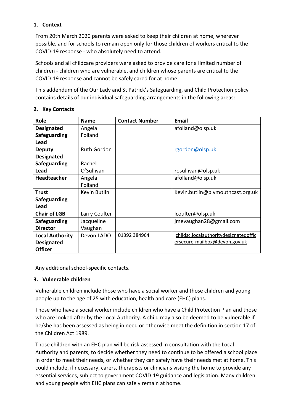# **1. Context**

From 20th March 2020 parents were asked to keep their children at home, wherever possible, and for schools to remain open only for those children of workers critical to the COVID-19 response - who absolutely need to attend.

Schools and all childcare providers were asked to provide care for a limited number of children - children who are vulnerable, and children whose parents are critical to the COVID-19 response and cannot be safely cared for at home.

This addendum of the Our Lady and St Patrick's Safeguarding, and Child Protection policy contains details of our individual safeguarding arrangements in the following areas:

# **2. Key Contacts**

| <b>Role</b>            | <b>Name</b>        | <b>Contact Number</b> | Email                                 |
|------------------------|--------------------|-----------------------|---------------------------------------|
| <b>Designated</b>      | Angela             |                       | afolland@olsp.uk                      |
| <b>Safeguarding</b>    | Folland            |                       |                                       |
| Lead                   |                    |                       |                                       |
| <b>Deputy</b>          | <b>Ruth Gordon</b> |                       | rgordon@olsp.uk                       |
| <b>Designated</b>      |                    |                       |                                       |
| <b>Safeguarding</b>    | Rachel             |                       |                                       |
| Lead                   | O'Sullivan         |                       | rosullivan@olsp.uk                    |
| <b>Headteacher</b>     | Angela             |                       | afolland@olsp.uk                      |
|                        | Folland            |                       |                                       |
| Trust                  | Kevin Butlin       |                       | Kevin.butlin@plymouthcast.org.uk      |
| <b>Safeguarding</b>    |                    |                       |                                       |
| Lead                   |                    |                       |                                       |
| <b>Chair of LGB</b>    | Larry Coulter      |                       | lcoulter@olsp.uk                      |
| <b>Safeguarding</b>    | Jacqueline         |                       | jmevaughan28@gmail.com                |
| <b>Director</b>        | Vaughan            |                       |                                       |
| <b>Local Authority</b> | Devon LADO         | 01392 384964          | childsc.localauthoritydesignatedoffic |
| <b>Designated</b>      |                    |                       | ersecure-mailbox@devon.gov.uk         |
| <b>Officer</b>         |                    |                       |                                       |

Any additional school-specific contacts.

# **3. Vulnerable children**

Vulnerable children include those who have a social worker and those children and young people up to the age of 25 with education, health and care (EHC) plans.

Those who have a social worker include children who have a Child Protection Plan and those who are looked after by the Local Authority. A child may also be deemed to be vulnerable if he/she has been assessed as being in need or otherwise meet the definition in section 17 of the Children Act 1989.

Those children with an EHC plan will be risk-assessed in consultation with the Local Authority and parents, to decide whether they need to continue to be offered a school place in order to meet their needs, or whether they can safely have their needs met at home. This could include, if necessary, carers, therapists or clinicians visiting the home to provide any essential services, subject to government COVID-19 guidance and legislation. Many children and young people with EHC plans can safely remain at home.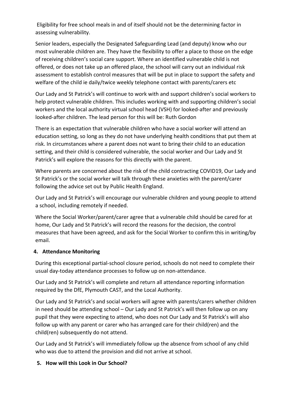Eligibility for free school meals in and of itself should not be the determining factor in assessing vulnerability.

Senior leaders, especially the Designated Safeguarding Lead (and deputy) know who our most vulnerable children are. They have the flexibility to offer a place to those on the edge of receiving children's social care support. Where an identified vulnerable child is not offered, or does not take up an offered place, the school will carry out an individual risk assessment to establish control measures that will be put in place to support the safety and welfare of the child ie daily/twice weekly telephone contact with parents/carers etc

Our Lady and St Patrick's will continue to work with and support children's social workers to help protect vulnerable children. This includes working with and supporting children's social workers and the local authority virtual school head (VSH) for looked-after and previously looked-after children. The lead person for this will be: Ruth Gordon

There is an expectation that vulnerable children who have a social worker will attend an education setting, so long as they do not have underlying health conditions that put them at risk. In circumstances where a parent does not want to bring their child to an education setting, and their child is considered vulnerable, the social worker and Our Lady and St Patrick's will explore the reasons for this directly with the parent.

Where parents are concerned about the risk of the child contracting COVID19, Our Lady and St Patrick's or the social worker will talk through these anxieties with the parent/carer following the advice set out by Public Health England.

Our Lady and St Patrick's will encourage our vulnerable children and young people to attend a school, including remotely if needed.

Where the Social Worker/parent/carer agree that a vulnerable child should be cared for at home, Our Lady and St Patrick's will record the reasons for the decision, the control measures that have been agreed, and ask for the Social Worker to confirm this in writing/by email.

#### **4. Attendance Monitoring**

During this exceptional partial-school closure period, schools do not need to complete their usual day-today attendance processes to follow up on non-attendance.

Our Lady and St Patrick's will complete and return all attendance reporting information required by the DfE, Plymouth CAST, and the Local Authority.

Our Lady and St Patrick's and social workers will agree with parents/carers whether children in need should be attending school – Our Lady and St Patrick's will then follow up on any pupil that they were expecting to attend, who does not Our Lady and St Patrick's will also follow up with any parent or carer who has arranged care for their child(ren) and the child(ren) subsequently do not attend.

Our Lady and St Patrick's will immediately follow up the absence from school of any child who was due to attend the provision and did not arrive at school.

# **5. How will this Look in Our School?**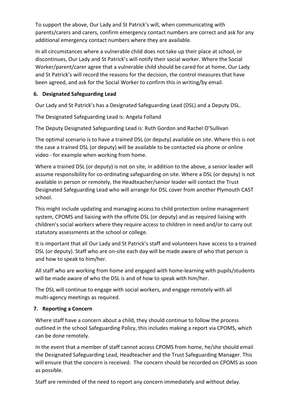To support the above, Our Lady and St Patrick's will, when communicating with parents/carers and carers, confirm emergency contact numbers are correct and ask for any additional emergency contact numbers where they are available.

In all circumstances where a vulnerable child does not take up their place at school, or discontinues, Our Lady and St Patrick's will notify their social worker. Where the Social Worker/parent/carer agree that a vulnerable child should be cared for at home, Our Lady and St Patrick's will record the reasons for the decision, the control measures that have been agreed, and ask for the Social Worker to confirm this in writing/by email.

#### **6. Designated Safeguarding Lead**

Our Lady and St Patrick's has a Designated Safeguarding Lead (DSL) and a Deputy DSL.

The Designated Safeguarding Lead is: Angela Folland

The Deputy Designated Safeguarding Lead is: Ruth Gordon and Rachel O'Sullivan

The optimal scenario is to have a trained DSL (or deputy) available on site. Where this is not the case a trained DSL (or deputy) will be available to be contacted via phone or online video - for example when working from home.

Where a trained DSL (or deputy) is not on site, in addition to the above, a senior leader will assume responsibility for co-ordinating safeguarding on site. Where a DSL (or deputy) is not available in person or remotely, the Headteacher/senior leader will contact the Trust Designated Safeguarding Lead who will arrange for DSL cover from another Plymouth CAST school.

This might include updating and managing access to child protection online management system, CPOMS and liaising with the offsite DSL (or deputy) and as required liaising with children's social workers where they require access to children in need and/or to carry out statutory assessments at the school or college.

It is important that all Our Lady and St Patrick's staff and volunteers have access to a trained DSL (or deputy). Staff who are on-site each day will be made aware of who that person is and how to speak to him/her.

All staff who are working from home and engaged with home-learning with pupils/students will be made aware of who the DSL is and of how to speak with him/her.

The DSL will continue to engage with social workers, and engage remotely with all multi-agency meetings as required.

#### **7. Reporting a Concern**

Where staff have a concern about a child, they should continue to follow the process outlined in the school Safeguarding Policy, this includes making a report via CPOMS, which can be done remotely.

In the event that a member of staff cannot access CPOMS from home, he/she should email the Designated Safeguarding Lead, Headteacher and the Trust Safeguarding Manager. This will ensure that the concern is received. The concern should be recorded on CPOMS as soon as possible.

Staff are reminded of the need to report any concern immediately and without delay.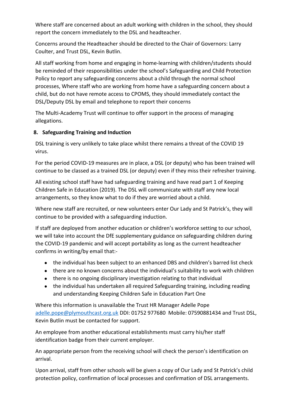Where staff are concerned about an adult working with children in the school, they should report the concern immediately to the DSL and headteacher.

Concerns around the Headteacher should be directed to the Chair of Governors: Larry Coulter, and Trust DSL, Kevin Butlin.

All staff working from home and engaging in home-learning with children/students should be reminded of their responsibilities under the school's Safeguarding and Child Protection Policy to report any safeguarding concerns about a child through the normal school processes, Where staff who are working from home have a safeguarding concern about a child, but do not have remote access to CPOMS, they should immediately contact the DSL/Deputy DSL by email and telephone to report their concerns

The Multi-Academy Trust will continue to offer support in the process of managing allegations.

#### **8. Safeguarding Training and Induction**

DSL training is very unlikely to take place whilst there remains a threat of the COVID 19 virus.

For the period COVID-19 measures are in place, a DSL (or deputy) who has been trained will continue to be classed as a trained DSL (or deputy) even if they miss their refresher training.

All existing school staff have had safeguarding training and have read part 1 of Keeping Children Safe in Education (2019). The DSL will communicate with staff any new local arrangements, so they know what to do if they are worried about a child.

Where new staff are recruited, or new volunteers enter Our Lady and St Patrick's, they will continue to be provided with a safeguarding induction.

If staff are deployed from another education or children's workforce setting to our school, we will take into account the DfE supplementary guidance on safeguarding children during the COVID-19 pandemic and will accept portability as long as the current headteacher confirms in writing/by email that:-

- the individual has been subject to an enhanced DBS and children's barred list check
- there are no known concerns about the individual's suitability to work with children
- there is no ongoing disciplinary investigation relating to that individual
- the individual has undertaken all required Safeguarding training, including reading and understanding Keeping Children Safe in Education Part One

Where this information is unavailable the Trust HR Manager Adelle Pope [adelle.pope@plymouthcast.org.uk](mailto:adelle.pope@plymouthcast.org.uk) DDI: 01752 977680 Mobile: 07590881434 and Trust DSL, Kevin Butlin must be contacted for support.

An employee from another educational establishments must carry his/her staff identification badge from their current employer.

An appropriate person from the receiving school will check the person's identification on arrival.

Upon arrival, staff from other schools will be given a copy of Our Lady and St Patrick's child protection policy, confirmation of local processes and confirmation of DSL arrangements.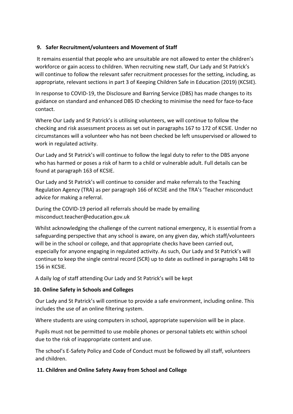#### **9. Safer Recruitment/volunteers and Movement of Staff**

 It remains essential that people who are unsuitable are not allowed to enter the children's workforce or gain access to children. When recruiting new staff, Our Lady and St Patrick's will continue to follow the relevant safer recruitment processes for the setting, including, as appropriate, relevant sections in part 3 of Keeping Children Safe in Education (2019) (KCSIE).

In response to COVID-19, the Disclosure and Barring Service (DBS) has made changes to its guidance on standard and enhanced DBS ID checking to minimise the need for face-to-face contact.

Where Our Lady and St Patrick's is utilising volunteers, we will continue to follow the checking and risk assessment process as set out in paragraphs 167 to 172 of KCSIE. Under no circumstances will a volunteer who has not been checked be left unsupervised or allowed to work in regulated activity.

Our Lady and St Patrick's will continue to follow the legal duty to refer to the DBS anyone who has harmed or poses a risk of harm to a child or vulnerable adult. Full details can be found at paragraph 163 of KCSIE.

Our Lady and St Patrick's will continue to consider and make referrals to the Teaching Regulation Agency (TRA) as per paragraph 166 of KCSIE and the TRA's 'Teacher misconduct advice for making a referral.

During the COVID-19 period all referrals should be made by emailing misconduct.teacher@education.gov.uk

Whilst acknowledging the challenge of the current national emergency, it is essential from a safeguarding perspective that any school is aware, on any given day, which staff/volunteers will be in the school or college, and that appropriate checks have been carried out, especially for anyone engaging in regulated activity. As such, Our Lady and St Patrick's will continue to keep the single central record (SCR) up to date as outlined in paragraphs 148 to 156 in KCSIE.

A daily log of staff attending Our Lady and St Patrick's will be kept

#### **10. Online Safety in Schools and Colleges**

Our Lady and St Patrick's will continue to provide a safe environment, including online. This includes the use of an online filtering system.

Where students are using computers in school, appropriate supervision will be in place.

Pupils must not be permitted to use mobile phones or personal tablets etc within school due to the risk of inappropriate content and use.

The school's E-Safety Policy and Code of Conduct must be followed by all staff, volunteers and children.

# **11. Children and Online Safety Away from School and College**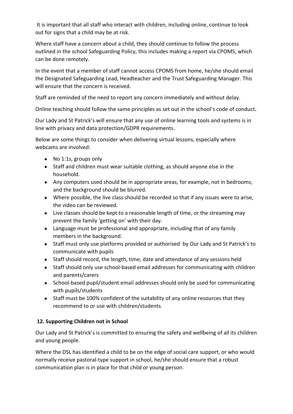It is important that all staff who interact with children, including online, continue to look out for signs that a child may be at risk.

Where staff have a concern about a child, they should continue to follow the process outlined in the school Safeguarding Policy, this includes making a report via CPOMS, which can be done remotely.

In the event that a member of staff cannot access CPOMS from home, he/she should email the Designated Safeguarding Lead, Headteacher and the Trust Safeguarding Manager. This will ensure that the concern is received.

Staff are reminded of the need to report any concern immediately and without delay.

Online teaching should follow the same principles as set out in the school's code of conduct**.**

Our Lady and St Patrick's will ensure that any use of online learning tools and systems is in line with privacy and data protection/GDPR requirements.

Below are some things to consider when delivering virtual lessons, especially where webcams are involved:

- No 1:1s, groups only
- Staff and children must wear suitable clothing, as should anyone else in the household.
- Any computers used should be in appropriate areas, for example, not in bedrooms; and the background should be blurred.
- Where possible, the live class should be recorded so that if any issues were to arise, the video can be reviewed.
- Live classes should be kept to a reasonable length of time, or the streaming may prevent the family 'getting on' with their day.
- Language must be professional and appropriate, including that of any family members in the background.
- Staff must only use platforms provided or authorised by Our Lady and St Patrick's to communicate with pupils
- Staff should record, the length, time, date and attendance of any sessions held
- Staff should only use school-based email addresses for communicating with children and parents/carers
- School-based pupil/student email addresses should only be used for communicating with pupils/students
- Staff must be 100% confident of the suitability of any online resources that they recommend to or use with children/students.

# **12. Supporting Children not in School**

Our Lady and St Patrick's is committed to ensuring the safety and wellbeing of all its children and young people.

Where the DSL has identified a child to be on the edge of social care support, or who would normally receive pastoral-type support in school, he/she should ensure that a robust communication plan is in place for that child or young person.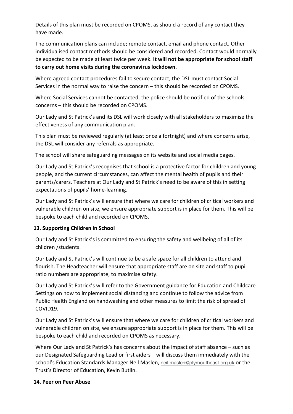Details of this plan must be recorded on CPOMS, as should a record of any contact they have made.

The communication plans can include; remote contact, email and phone contact. Other individualised contact methods should be considered and recorded. Contact would normally be expected to be made at least twice per week. **It will not be appropriate for school staff to carry out home visits during the coronavirus lockdown.**

Where agreed contact procedures fail to secure contact, the DSL must contact Social Services in the normal way to raise the concern – this should be recorded on CPOMS.

Where Social Services cannot be contacted, the police should be notified of the schools concerns – this should be recorded on CPOMS.

Our Lady and St Patrick's and its DSL will work closely with all stakeholders to maximise the effectiveness of any communication plan.

This plan must be reviewed regularly (at least once a fortnight) and where concerns arise, the DSL will consider any referrals as appropriate.

The school will share safeguarding messages on its website and social media pages.

Our Lady and St Patrick's recognises that school is a protective factor for children and young people, and the current circumstances, can affect the mental health of pupils and their parents/carers. Teachers at Our Lady and St Patrick's need to be aware of this in setting expectations of pupils' home-learning.

Our Lady and St Patrick's will ensure that where we care for children of critical workers and vulnerable children on site, we ensure appropriate support is in place for them. This will be bespoke to each child and recorded on CPOMS.

#### **13. Supporting Children in School**

Our Lady and St Patrick's is committed to ensuring the safety and wellbeing of all of its children /students.

Our Lady and St Patrick's will continue to be a safe space for all children to attend and flourish. The Headteacher will ensure that appropriate staff are on site and staff to pupil ratio numbers are appropriate, to maximise safety.

Our Lady and St Patrick's will refer to the Government guidance for Education and Childcare Settings on how to implement social distancing and continue to follow the advice from Public Health England on handwashing and other measures to limit the risk of spread of COVID19.

Our Lady and St Patrick's will ensure that where we care for children of critical workers and vulnerable children on site, we ensure appropriate support is in place for them. This will be bespoke to each child and recorded on CPOMS as necessary.

Where Our Lady and St Patrick's has concerns about the impact of staff absence – such as our Designated Safeguarding Lead or first aiders – will discuss them immediately with the school's Education Standards Manager Neil Maslen, [neil.maslen@plymouthcast.org.uk](mailto:neil.maslen@plymouthcast.org.uk) or the Trust's Director of Education, Kevin Butlin.

#### **14. Peer on Peer Abuse**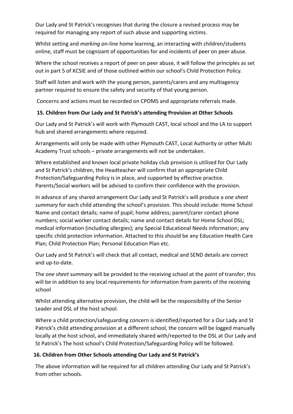Our Lady and St Patrick's recognises that during the closure a revised process may be required for managing any report of such abuse and supporting victims.

Whilst setting and *marking* on-line home learning, an interacting with children/students online, staff must be cognizant of opportunities for and incidents of peer on peer abuse.

Where the school receives a report of peer on peer abuse, it will follow the principles as set out in part 5 of KCSIE and of those outlined within our school's Child Protection Policy.

Staff will listen and work with the young person, parents/carers and any multiagency partner required to ensure the safety and security of that young person.

Concerns and actions must be recorded on CPOMS and appropriate referrals made.

# **15. Children from Our Lady and St Patrick's attending Provision at Other Schools**

Our Lady and St Patrick's will work with Plymouth CAST, local school and the LA to support hub and shared arrangements where required.

Arrangements will only be made with other Plymouth CAST, Local Authority or other Multi Academy Trust schools – private arrangements will not be undertaken.

Where established and known local private holiday club provision is utilised for Our Lady and St Patrick's children, the Headteacher will confirm that an appropriate Child Protection/Safeguarding Policy is in place, and supported by effective practice. Parents/Social workers will be advised to confirm their confidence with the provision.

In advance of any shared arrangement Our Lady and St Patrick's will produce a *one sheet summary* for each child attending the school's provision. This should include: Home School Name and contact details; name of pupil; home address; parent/carer contact phone numbers; social worker contact details; name and contact details for Home School DSL; medical information (including allergies); any Special Educational Needs information; any specific child protection information. Attached to this should be any Education Health Care Plan; Child Protection Plan; Personal Education Plan etc.

Our Lady and St Patrick's will check that all contact, medical and SEND details are correct and up-to-date.

The *one sheet summary* will be provided to the receiving school at the point of transfer; this will be in addition to any local requirements for information from parents of the receiving school

Whilst attending alternative provision, the child will be the responsibility of the Senior Leader and DSL of the host school.

Where a child protection/safeguarding concern is identified/reported for a Our Lady and St Patrick's child attending provision at a different school, the concern will be logged manually locally at the host school, and immediately shared with/reported to the DSL at Our Lady and St Patrick's The host school's Child Protection/Safeguarding Policy will be followed.

# **16. Children from Other Schools attending Our Lady and St Patrick's**

The above information will be required for all children attending Our Lady and St Patrick's from other schools.